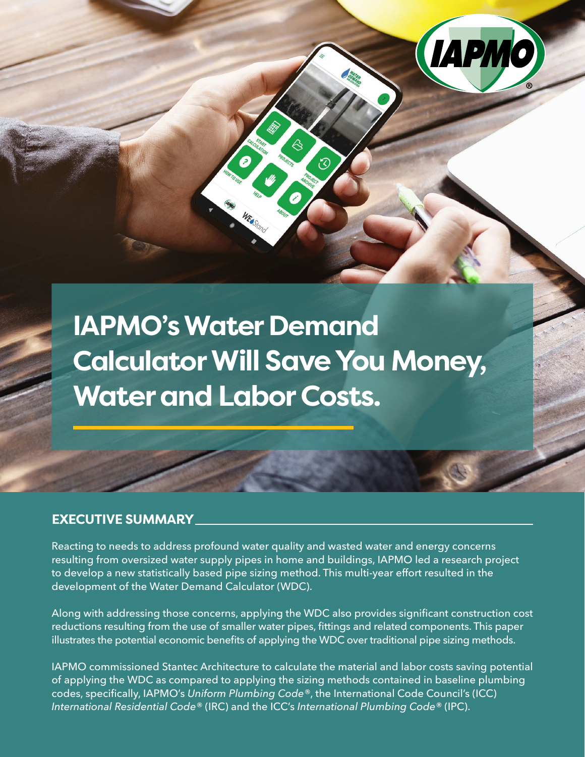**IAPMO's Water Demand Calculator Will Save You Money, Water and Labor Costs.**

 $\bullet$ 

### **EXECUTIVE SUMMARY**

Reacting to needs to address profound water quality and wasted water and energy concerns resulting from oversized water supply pipes in home and buildings, IAPMO led a research project to develop a new statistically based pipe sizing method. This multi-year effort resulted in the development of the Water Demand Calculator (WDC).

Along with addressing those concerns, applying the WDC also provides significant construction cost reductions resulting from the use of smaller water pipes, fittings and related components. This paper illustrates the potential economic benefits of applying the WDC over traditional pipe sizing methods.

IAPMO commissioned Stantec Architecture to calculate the material and labor costs saving potential of applying the WDC as compared to applying the sizing methods contained in baseline plumbing codes, specifically, IAPMO's *Uniform Plumbing Code®*, the International Code Council's (ICC) *International Residential Code®* (IRC) and the ICC's *International Plumbing Code®* (IPC).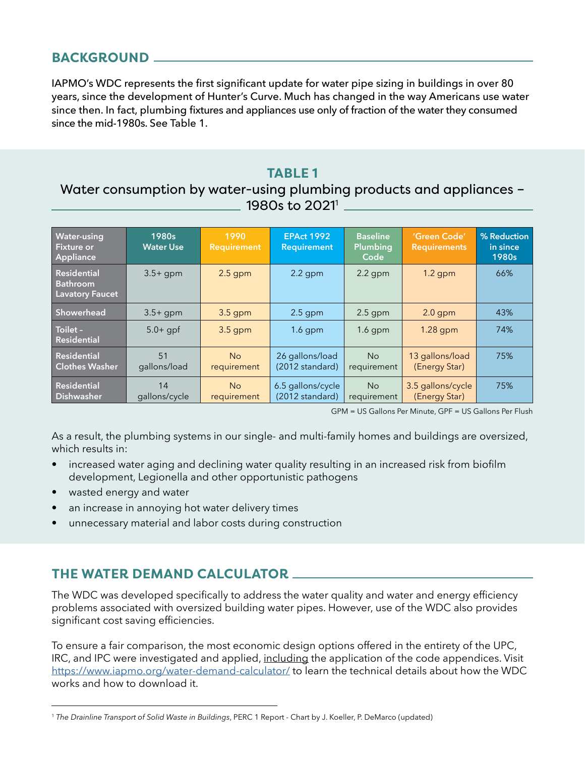# **BACKGROUND**

IAPMO's WDC represents the first significant update for water pipe sizing in buildings in over 80 years, since the development of Hunter's Curve. Much has changed in the way Americans use water since then. In fact, plumbing fixtures and appliances use only of fraction of the water they consumed since the mid-1980s. See Table 1.

## **TABLE 1**

# Water consumption by water-using plumbing products and appliances – 1980s to 2021<sup>1</sup>

| <b>Water-using</b><br><b>Fixture or</b><br>Appliance     | 1980s<br><b>Water Use</b> | 1990<br><b>Requirement</b> | <b>EPAct 1992</b><br><b>Requirement</b> | <b>Baseline</b><br>Plumbing<br>Code | 'Green Code'<br><b>Requirements</b> | % Reduction<br>in since<br>1980s |
|----------------------------------------------------------|---------------------------|----------------------------|-----------------------------------------|-------------------------------------|-------------------------------------|----------------------------------|
| <b>Residential</b><br>Bathroom<br><b>Lavatory Faucet</b> | $3.5+$ qpm                | $2.5$ gpm                  | $2.2$ gpm                               | $2.2$ gpm                           | $1.2$ gpm                           | 66%                              |
| Showerhead                                               | $3.5+$ qpm                | $3.5$ gpm                  | $2.5$ gpm                               | $2.5$ gpm                           | $2.0$ gpm                           | 43%                              |
| Toilet -<br><b>Residential</b>                           | $5.0 +$ gpf               | $3.5$ gpm                  | $1.6$ gpm                               | $1.6$ gpm                           | $1.28$ gpm                          | 74%                              |
| <b>Residential</b><br><b>Clothes Washer</b>              | 51<br>gallons/load        | No<br>requirement          | 26 gallons/load<br>(2012 standard)      | N <sub>o</sub><br>requirement       | 13 gallons/load<br>(Energy Star)    | 75%                              |
| Residential<br>Dishwasher                                | 14<br>gallons/cycle       | <b>No</b><br>requirement   | 6.5 gallons/cycle<br>(2012 standard)    | No<br>requirement                   | 3.5 gallons/cycle<br>(Energy Star)  | 75%                              |

GPM = US Gallons Per Minute, GPF = US Gallons Per Flush

As a result, the plumbing systems in our single- and multi-family homes and buildings are oversized, which results in:

- increased water aging and declining water quality resulting in an increased risk from biofilm development, Legionella and other opportunistic pathogens
- wasted energy and water
- an increase in annoying hot water delivery times
- unnecessary material and labor costs during construction

# **THE WATER DEMAND CALCULATOR**

The WDC was developed specifically to address the water quality and water and energy efficiency problems associated with oversized building water pipes. However, use of the WDC also provides significant cost saving efficiencies.

To ensure a fair comparison, the most economic design options offered in the entirety of the UPC, IRC, and IPC were investigated and applied, including the application of the code appendices. Visit <https://www.iapmo.org/water-demand-calculator/> to learn the technical details about how the WDC works and how to download it.

<sup>1</sup> *The Drainline Transport of Solid Waste in Buildings*, PERC 1 Report - Chart by J. Koeller, P. DeMarco (updated)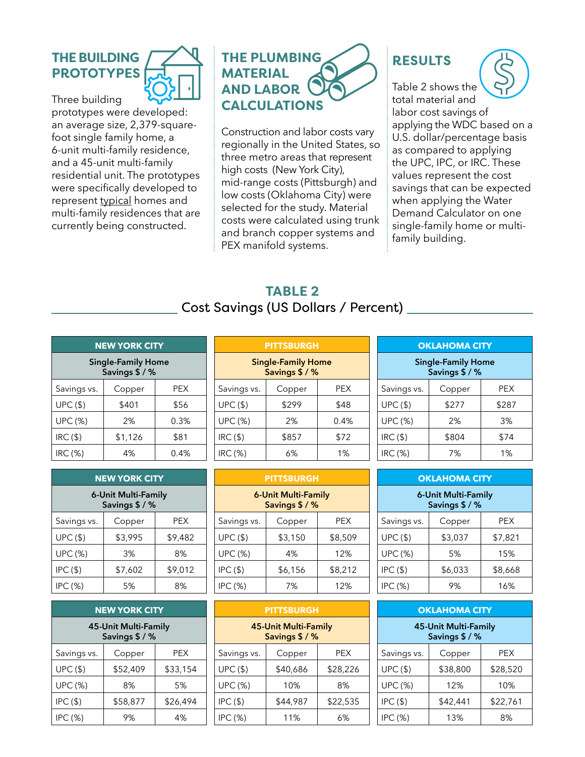# **THE BUILDING PROTOTYPES**



Three building prototypes were developed: an average size, 2,379-squarefoot single family home, a 6-unit multi-family residence, and a 45-unit multi-family residential unit. The prototypes were specifically developed to represent typical homes and multi-family residences that are currently being constructed.

# **THE PLUMBING MATERIAL AND LABOR CALCULATIONS**

Construction and labor costs vary regionally in the United States, so three metro areas that represent high costs (New York City), mid-range costs (Pittsburgh) and low costs (Oklahoma City) were selected for the study. Material costs were calculated using trunk and branch copper systems and PEX manifold systems.

# **RESULTS**



# **TABLE 2**  Cost Savings (US Dollars / Percent)

| <b>NEW YORK CITY</b>                        |         |            |  |
|---------------------------------------------|---------|------------|--|
| <b>Single-Family Home</b><br>Savings \$ / % |         |            |  |
| Savings vs.                                 | Copper  | <b>PEX</b> |  |
| <b>UPC (\$)</b>                             | \$401   | \$56       |  |
| <b>UPC (%)</b>                              | 2%      | 0.3%       |  |
| $IRC($ \$)                                  | \$1,126 | \$81       |  |
| <b>IRC (%)</b>                              | 4%      | $0.4\%$    |  |

| <b>NEW YORK CITY</b>                  |         |         |  |
|---------------------------------------|---------|---------|--|
| 6-Unit Multi-Family<br>Savings \$ / % |         |         |  |
| Savings vs.                           | Copper  | PEX     |  |
| UPC(S)                                | \$3,995 | \$9,482 |  |
| <b>UPC (%)</b>                        | 3%      | 8%      |  |
| $IPC($ \$)                            | \$7,602 | \$9,012 |  |
| IPC (%)                               | 5%      | 8%      |  |

| <b>NEW YORK CITY</b>                   |          |          |  |
|----------------------------------------|----------|----------|--|
| 45-Unit Multi-Family<br>Savings \$ / % |          |          |  |
| Savings vs.                            | Copper   | PEX      |  |
| UPC(S)                                 | \$52,409 | \$33,154 |  |
| <b>UPC (%)</b>                         | 8%       | 5%       |  |
| $IPC($ \$)                             | \$58,877 | \$26,494 |  |
| IPC (%)                                | 9%       | 4%       |  |

| <b>PITTSBURGH</b>                           |        |         |  |
|---------------------------------------------|--------|---------|--|
| <b>Single-Family Home</b><br>Savings \$ / % |        |         |  |
| Savings vs.                                 | Copper | PEX     |  |
| UPC(S)                                      | \$299  | \$48    |  |
| <b>UPC (%)</b>                              | 2%     | $0.4\%$ |  |
| $IRC($ \$)                                  | \$857  | \$72    |  |
| IRC (%)                                     | 6%     | 1%      |  |

| <b>PITTSBURGH</b>                            |         |         |  |
|----------------------------------------------|---------|---------|--|
| <b>6-Unit Multi-Family</b><br>Savings \$ / % |         |         |  |
| Savings vs.                                  | Copper  | PEX     |  |
| UPC(S)                                       | \$3,150 | \$8,509 |  |
| <b>UPC (%)</b>                               | 4%      | 12%     |  |
| $IPC($ \$)                                   | \$6,156 | \$8,212 |  |
| IPC (%)                                      | 7%      | 12%     |  |

| <b>PITTSBURGH</b>                           |          |          |  |
|---------------------------------------------|----------|----------|--|
| <b>45-Unit Multi-Family</b><br>Savings \$/% |          |          |  |
| Savings vs.                                 | Copper   | PEX      |  |
| UPC(S)                                      | \$40,686 | \$28,226 |  |
| <b>UPC (%)</b>                              | 10%      | 8%       |  |
| $IPC($ \$)                                  | \$44,987 | \$22,535 |  |
| IPC (%)                                     | 11%      | 6%       |  |

| <b>OKLAHOMA CITY</b>                        |        |            |  |
|---------------------------------------------|--------|------------|--|
| <b>Single-Family Home</b><br>Savings \$ / % |        |            |  |
| Savings vs.                                 | Copper | <b>PEX</b> |  |
| UPC(S)                                      | \$277  | \$287      |  |
| <b>UPC (%)</b>                              | 2%     | 3%         |  |
| $IRC($ \$)                                  | \$804  | \$74       |  |
| IRC (%)                                     | 7%     | 1%         |  |

| <b>OKLAHOMA CITY</b>                  |         |         |  |
|---------------------------------------|---------|---------|--|
| 6-Unit Multi-Family<br>Savings \$ / % |         |         |  |
| Savings vs.                           | Copper  | PEX     |  |
| UPC(S)                                | \$3,037 | \$7,821 |  |
| <b>UPC (%)</b>                        | 5%      | 15%     |  |
| $IPC($ \$)                            | \$6,033 | \$8,668 |  |
| IPC (%)                               | 9%      | 16%     |  |

| <b>OKLAHOMA CITY</b>                   |          |            |  |
|----------------------------------------|----------|------------|--|
| 45-Unit Multi-Family<br>Savings \$ / % |          |            |  |
| Savings vs.                            | Copper   | <b>PEX</b> |  |
| UPC(S)                                 | \$38,800 | \$28,520   |  |
| <b>UPC (%)</b>                         | 12%      | 10%        |  |
| $IPC($ \$)                             | \$42,441 | \$22,761   |  |
| IPC (%)                                | 13%      | 8%         |  |